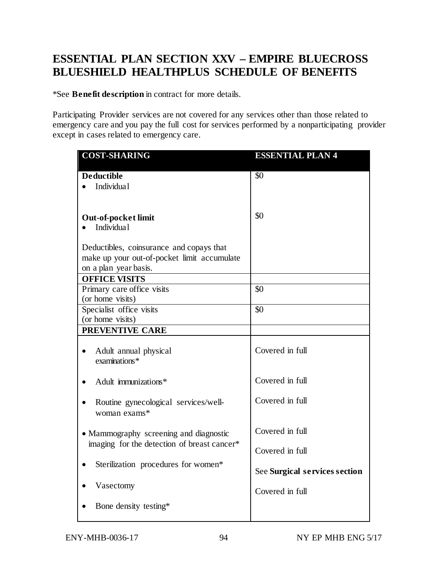## **ESSENTIAL PLAN SECTION XXV – EMPIRE BLUECROSS BLUESHIELD HEALTHPLUS SCHEDULE OF BENEFITS**

\*See **Benefit description** in contract for more details.

Participating Provider services are not covered for any services other than those related to emergency care and you pay the full cost for services performed by a nonparticipating provider except in cases related to emergency care.

| <b>COST-SHARING</b>                         | <b>ESSENTIAL PLAN 4</b>       |
|---------------------------------------------|-------------------------------|
| <b>Deductible</b>                           | $\overline{50}$               |
| Individua1                                  |                               |
|                                             |                               |
|                                             |                               |
| <b>Out-of-pocket limit</b>                  | \$0                           |
| Individua1                                  |                               |
|                                             |                               |
| Deductibles, coinsurance and copays that    |                               |
| make up your out-of-pocket limit accumulate |                               |
| on a plan year basis.                       |                               |
| <b>OFFICE VISITS</b>                        |                               |
| Primary care office visits                  | \$0                           |
| (or home visits)                            |                               |
| Specialist office visits                    | \$0                           |
| (or home visits)                            |                               |
| PREVENTIVE CARE                             |                               |
|                                             | Covered in full               |
| Adult annual physical<br>examinations*      |                               |
|                                             |                               |
| Adult immunizations*                        | Covered in full               |
|                                             |                               |
| Routine gynecological services/well-        | Covered in full               |
| woman exams*                                |                               |
|                                             |                               |
| • Mammography screening and diagnostic      | Covered in full               |
| imaging for the detection of breast cancer* |                               |
|                                             | Covered in full               |
| Sterilization procedures for women*         |                               |
|                                             | See Surgical services section |
|                                             |                               |
| Vasectomy                                   | Covered in full               |
|                                             |                               |
| Bone density testing*                       |                               |
|                                             |                               |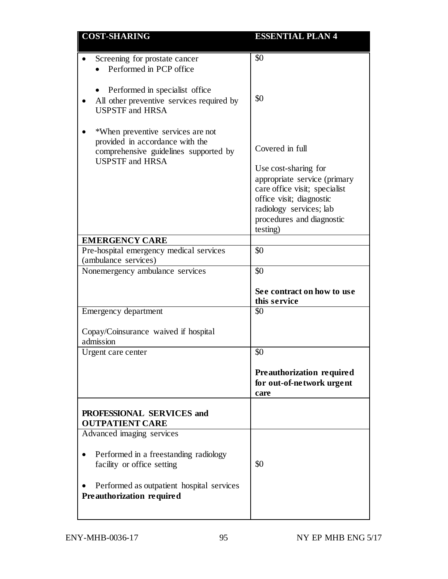| <b>COST-SHARING</b>                                                                                                                     | <b>ESSENTIAL PLAN 4</b>                                                                                                                                                               |
|-----------------------------------------------------------------------------------------------------------------------------------------|---------------------------------------------------------------------------------------------------------------------------------------------------------------------------------------|
| Screening for prostate cancer<br>Performed in PCP office<br>Performed in specialist office<br>All other preventive services required by | \$0<br>\$0                                                                                                                                                                            |
| <b>USPSTF</b> and HRSA<br>*When preventive services are not<br>provided in accordance with the                                          |                                                                                                                                                                                       |
| comprehensive guidelines supported by<br><b>USPSTF</b> and <b>HRSA</b>                                                                  | Covered in full                                                                                                                                                                       |
|                                                                                                                                         | Use cost-sharing for<br>appropriate service (primary<br>care office visit; specialist<br>office visit; diagnostic<br>radiology services; lab<br>procedures and diagnostic<br>testing) |
| <b>EMERGENCY CARE</b>                                                                                                                   |                                                                                                                                                                                       |
| Pre-hospital emergency medical services                                                                                                 | \$0                                                                                                                                                                                   |
| (ambulance services)                                                                                                                    |                                                                                                                                                                                       |
| Nonemergency ambulance services                                                                                                         | \$0<br>See contract on how to use<br>this service                                                                                                                                     |
| Emergency department<br>Copay/Coinsurance waived if hospital                                                                            | \$0                                                                                                                                                                                   |
| admission                                                                                                                               |                                                                                                                                                                                       |
| Urgent care center                                                                                                                      | \$0                                                                                                                                                                                   |
|                                                                                                                                         | Preauthorization required<br>for out-of-network urgent<br>care                                                                                                                        |
| PROFESSIONAL SERVICES and<br><b>OUTPATIENT CARE</b>                                                                                     |                                                                                                                                                                                       |
| Advanced imaging services                                                                                                               |                                                                                                                                                                                       |
| Performed in a freestanding radiology<br>facility or office setting                                                                     | \$0                                                                                                                                                                                   |
| Performed as outpatient hospital services<br>Preauthorization required                                                                  |                                                                                                                                                                                       |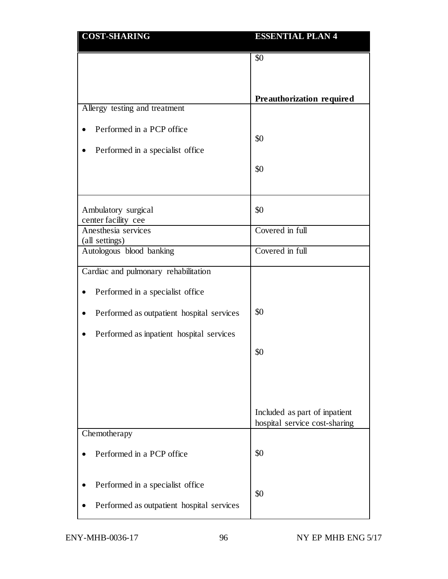| <b>COST-SHARING</b>                        | <b>ESSENTIAL PLAN 4</b>                                        |
|--------------------------------------------|----------------------------------------------------------------|
|                                            | \$0                                                            |
|                                            |                                                                |
|                                            |                                                                |
| Allergy testing and treatment              | Preauthorization required                                      |
|                                            |                                                                |
| Performed in a PCP office                  | \$0                                                            |
| Performed in a specialist office           |                                                                |
|                                            | \$0                                                            |
|                                            |                                                                |
|                                            |                                                                |
| Ambulatory surgical                        | \$0                                                            |
| center facility cee<br>Anesthesia services | Covered in full                                                |
| (all settings)                             |                                                                |
| Autologous blood banking                   | Covered in full                                                |
| Cardiac and pulmonary rehabilitation       |                                                                |
| Performed in a specialist office           |                                                                |
| Performed as outpatient hospital services  | \$0                                                            |
| Performed as inpatient hospital services   |                                                                |
|                                            | \$0                                                            |
|                                            |                                                                |
|                                            |                                                                |
|                                            |                                                                |
|                                            | Included as part of inpatient<br>hospital service cost-sharing |
| Chemotherapy                               |                                                                |
| Performed in a PCP office                  | \$0                                                            |
|                                            |                                                                |
| Performed in a specialist office           |                                                                |
|                                            | \$0                                                            |
| Performed as outpatient hospital services  |                                                                |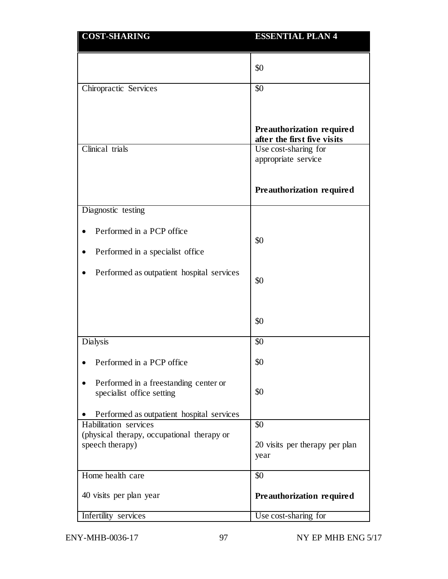| <b>COST-SHARING</b>                                                 | <b>ESSENTIAL PLAN 4</b>                                  |
|---------------------------------------------------------------------|----------------------------------------------------------|
|                                                                     | \$0                                                      |
| Chiropractic Services                                               | \$0                                                      |
|                                                                     | Preauthorization required<br>after the first five visits |
| Clinical trials                                                     | Use cost-sharing for<br>appropriate service              |
|                                                                     | Preauthorization required                                |
| Diagnostic testing                                                  |                                                          |
| Performed in a PCP office                                           | \$0                                                      |
| Performed in a specialist office                                    |                                                          |
| Performed as outpatient hospital services                           | \$0                                                      |
|                                                                     | \$0                                                      |
| <b>Dialysis</b>                                                     | \$0                                                      |
| Performed in a PCP office                                           | \$0                                                      |
| Performed in a freestanding center or<br>specialist office setting  | \$0                                                      |
| Performed as outpatient hospital services                           |                                                          |
| Habilitation services<br>(physical therapy, occupational therapy or | \$0                                                      |
| speech therapy)                                                     | 20 visits per therapy per plan<br>year                   |
| Home health care                                                    | \$0                                                      |
| 40 visits per plan year                                             | Preauthorization required                                |
| Infertility services                                                | Use cost-sharing for                                     |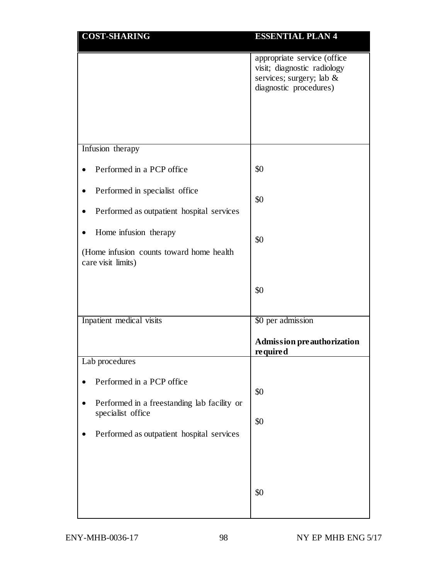| <b>COST-SHARING</b>                                                         | <b>ESSENTIAL PLAN 4</b>                                                                                          |
|-----------------------------------------------------------------------------|------------------------------------------------------------------------------------------------------------------|
|                                                                             | appropriate service (office<br>visit; diagnostic radiology<br>services; surgery; lab &<br>diagnostic procedures) |
|                                                                             |                                                                                                                  |
| Infusion therapy                                                            |                                                                                                                  |
| Performed in a PCP office                                                   | \$0                                                                                                              |
| Performed in specialist office<br>Performed as outpatient hospital services | \$0                                                                                                              |
| Home infusion therapy<br>(Home infusion counts toward home health)          | \$0                                                                                                              |
| care visit limits)                                                          | \$0                                                                                                              |
| Inpatient medical visits                                                    | \$0 per admission                                                                                                |
|                                                                             | <b>Admission preauthorization</b><br>required                                                                    |
| Lab procedures                                                              |                                                                                                                  |
| Performed in a PCP office<br>Performed in a freestanding lab facility or    | \$0                                                                                                              |
| specialist office                                                           | \$0                                                                                                              |
| Performed as outpatient hospital services                                   |                                                                                                                  |
|                                                                             | \$0                                                                                                              |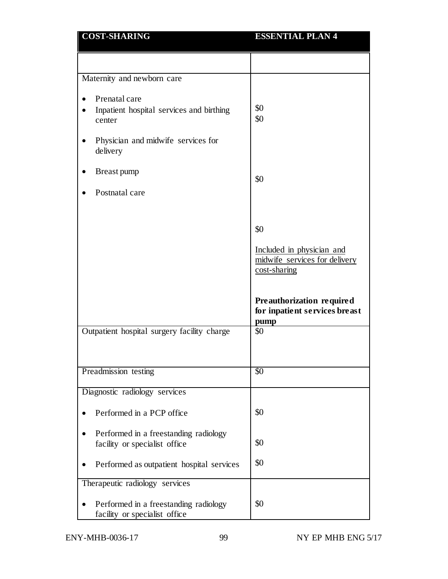| <b>COST-SHARING</b>                                                    | <b>ESSENTIAL PLAN 4</b>                                                    |
|------------------------------------------------------------------------|----------------------------------------------------------------------------|
|                                                                        |                                                                            |
| Maternity and newborn care                                             |                                                                            |
| Prenatal care                                                          |                                                                            |
| Inpatient hospital services and birthing<br>center                     | \$0<br>\$0                                                                 |
| Physician and midwife services for<br>delivery                         |                                                                            |
| Breast pump                                                            | \$0                                                                        |
| Postnatal care                                                         |                                                                            |
|                                                                        | \$0                                                                        |
|                                                                        | Included in physician and<br>midwife services for delivery<br>cost-sharing |
|                                                                        | Preauthorization required<br>for inpatient services breast<br>pump         |
| Outpatient hospital surgery facility charge                            | \$0                                                                        |
|                                                                        |                                                                            |
| Preadmission testing                                                   | $\overline{50}$                                                            |
| Diagnostic radiology services                                          |                                                                            |
| Performed in a PCP office                                              | \$0                                                                        |
| Performed in a freestanding radiology                                  |                                                                            |
| facility or specialist office                                          | \$0                                                                        |
| Performed as outpatient hospital services                              | \$0                                                                        |
| Therapeutic radiology services                                         |                                                                            |
| Performed in a freestanding radiology<br>facility or specialist office | \$0                                                                        |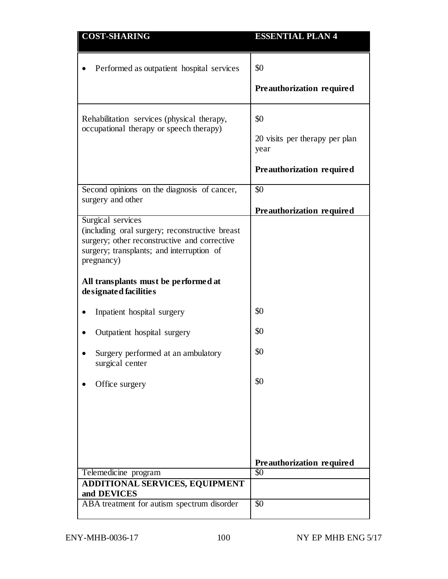| <b>COST-SHARING</b>                                                                                                                                                                                                    | <b>ESSENTIAL PLAN 4</b>                                                    |
|------------------------------------------------------------------------------------------------------------------------------------------------------------------------------------------------------------------------|----------------------------------------------------------------------------|
| Performed as outpatient hospital services                                                                                                                                                                              | \$0<br>Preauthorization required                                           |
| Rehabilitation services (physical therapy,<br>occupational therapy or speech therapy)                                                                                                                                  | \$0<br>20 visits per therapy per plan<br>year<br>Preauthorization required |
| Second opinions on the diagnosis of cancer,<br>surgery and other                                                                                                                                                       | \$0<br>Preauthorization required                                           |
| Surgical services<br>(including oral surgery; reconstructive breast<br>surgery; other reconstructive and corrective<br>surgery; transplants; and interruption of<br>pregnancy)<br>All transplants must be performed at |                                                                            |
| designated facilities<br>Inpatient hospital surgery                                                                                                                                                                    | \$0                                                                        |
| Outpatient hospital surgery                                                                                                                                                                                            | \$0                                                                        |
| Surgery performed at an ambulatory<br>surgical center                                                                                                                                                                  | \$0                                                                        |
| Office surgery                                                                                                                                                                                                         | \$0                                                                        |
|                                                                                                                                                                                                                        | Preauthorization required                                                  |
| Telemedicine program                                                                                                                                                                                                   | \$0                                                                        |
| ADDITIONAL SERVICES, EQUIPMENT<br>and DEVICES                                                                                                                                                                          |                                                                            |
| ABA treatment for autism spectrum disorder                                                                                                                                                                             | $\overline{50}$                                                            |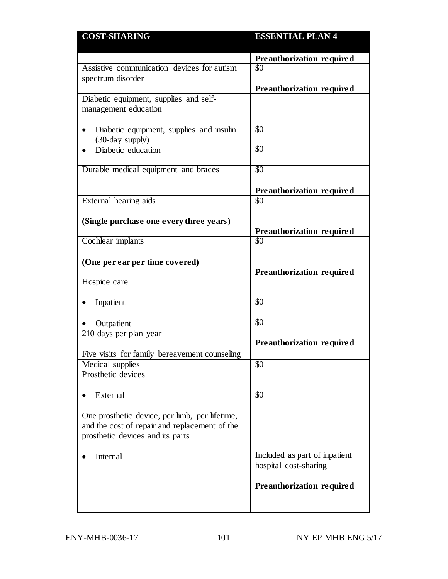| <b>COST-SHARING</b>                            | <b>ESSENTIAL PLAN 4</b>       |
|------------------------------------------------|-------------------------------|
|                                                | Preauthorization required     |
| Assistive communication devices for autism     | \$0                           |
| spectrum disorder                              |                               |
|                                                | Preauthorization required     |
| Diabetic equipment, supplies and self-         |                               |
| management education                           |                               |
| Diabetic equipment, supplies and insulin       | \$0                           |
| (30-day supply)                                |                               |
| Diabetic education                             | \$0                           |
|                                                |                               |
| Durable medical equipment and braces           | $\overline{50}$               |
|                                                |                               |
|                                                | Preauthorization required     |
| External hearing aids                          | \$0                           |
| (Single purchase one every three years)        |                               |
|                                                | Preauthorization required     |
| Cochlear implants                              | \$0                           |
|                                                |                               |
| (One per ear per time covered)                 |                               |
|                                                | Preauthorization required     |
| Hospice care                                   |                               |
| Inpatient                                      | \$0                           |
|                                                |                               |
| Outpatient                                     | \$0                           |
| 210 days per plan year                         |                               |
|                                                | Preauthorization required     |
| Five visits for family bereavement counseling  |                               |
| Medical supplies                               | \$0                           |
| Prosthetic devices                             |                               |
| External                                       | \$0                           |
|                                                |                               |
| One prosthetic device, per limb, per lifetime, |                               |
| and the cost of repair and replacement of the  |                               |
| prosthetic devices and its parts               |                               |
|                                                |                               |
| Internal                                       | Included as part of inpatient |
|                                                | hospital cost-sharing         |
|                                                |                               |
|                                                |                               |
|                                                |                               |
|                                                | Preauthorization required     |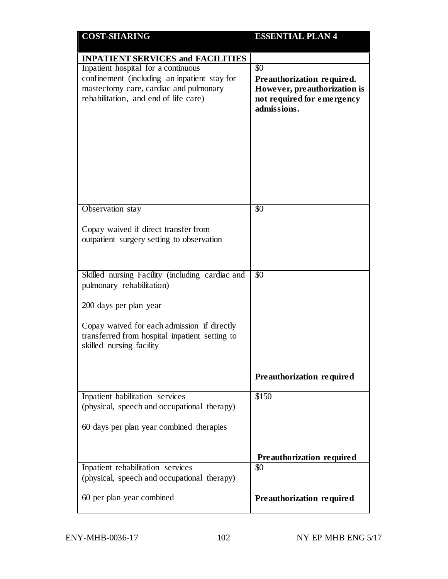| <b>COST-SHARING</b>                                                              | <b>ESSENTIAL PLAN 4</b>          |
|----------------------------------------------------------------------------------|----------------------------------|
| <b>INPATIENT SERVICES and FACILITIES</b>                                         |                                  |
| Inpatient hospital for a continuous                                              | \$0                              |
| confinement (including an inpatient stay for                                     | Preauthorization required.       |
| mastectomy care, cardiac and pulmonary                                           | However, preauthorization is     |
| rehabilitation, and end of life care)                                            | not required for emergency       |
|                                                                                  | admissions.                      |
|                                                                                  |                                  |
|                                                                                  |                                  |
|                                                                                  |                                  |
|                                                                                  |                                  |
|                                                                                  |                                  |
|                                                                                  |                                  |
|                                                                                  |                                  |
|                                                                                  |                                  |
| Observation stay                                                                 | $\overline{50}$                  |
| Copay waived if direct transfer from                                             |                                  |
| outpatient surgery setting to observation                                        |                                  |
|                                                                                  |                                  |
|                                                                                  |                                  |
| Skilled nursing Facility (including cardiac and                                  | $\overline{50}$                  |
| pulmonary rehabilitation)                                                        |                                  |
|                                                                                  |                                  |
| 200 days per plan year                                                           |                                  |
|                                                                                  |                                  |
| Copay waived for each admission if directly                                      |                                  |
| transferred from hospital inpatient setting to<br>skilled nursing facility       |                                  |
|                                                                                  |                                  |
|                                                                                  |                                  |
|                                                                                  | Preauthorization required        |
| Inpatient habilitation services                                                  | \$150                            |
| (physical, speech and occupational therapy)                                      |                                  |
|                                                                                  |                                  |
| 60 days per plan year combined therapies                                         |                                  |
|                                                                                  |                                  |
|                                                                                  |                                  |
|                                                                                  | Preauthorization required<br>\$0 |
| Inpatient rehabilitation services<br>(physical, speech and occupational therapy) |                                  |
|                                                                                  |                                  |
| 60 per plan year combined                                                        | Preauthorization required        |
|                                                                                  |                                  |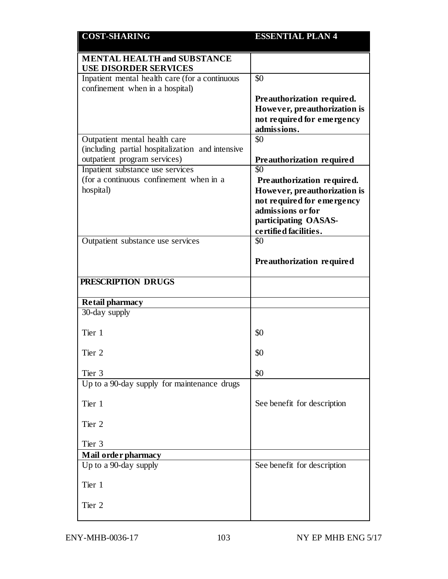| <b>COST-SHARING</b>                                                              | <b>ESSENTIAL PLAN 4</b>          |
|----------------------------------------------------------------------------------|----------------------------------|
| <b>MENTAL HEALTH and SUBSTANCE</b><br><b>USE DISORDER SERVICES</b>               |                                  |
| Inpatient mental health care (for a continuous                                   | \$0                              |
| confinement when in a hospital)                                                  |                                  |
|                                                                                  | Preauthorization required.       |
|                                                                                  | However, preauthorization is     |
|                                                                                  | not required for emergency       |
|                                                                                  | admissions.                      |
| Outpatient mental health care                                                    | \$0                              |
| (including partial hospitalization and intensive<br>outpatient program services) |                                  |
| Inpatient substance use services                                                 | Preauthorization required<br>\$0 |
| (for a continuous confinement when in a                                          | Preauthorization required.       |
| hospital)                                                                        | However, preauthorization is     |
|                                                                                  | not required for emergency       |
|                                                                                  | admissions or for                |
|                                                                                  | participating OASAS-             |
|                                                                                  | certified facilities.            |
| Outpatient substance use services                                                | \$0                              |
|                                                                                  | Preauthorization required        |
| PRESCRIPTION DRUGS                                                               |                                  |
| <b>Retail pharmacy</b>                                                           |                                  |
| 30-day supply                                                                    |                                  |
| Tier 1                                                                           | \$0                              |
| Tier 2                                                                           | \$0                              |
| Tier 3                                                                           | \$0                              |
| Up to a 90-day supply for maintenance drugs                                      |                                  |
| Tier 1                                                                           | See benefit for description      |
| Tier 2                                                                           |                                  |
| Tier 3                                                                           |                                  |
| Mail order pharmacy                                                              |                                  |
|                                                                                  |                                  |
| Up to a 90-day supply                                                            | See benefit for description      |
| Tier 1                                                                           |                                  |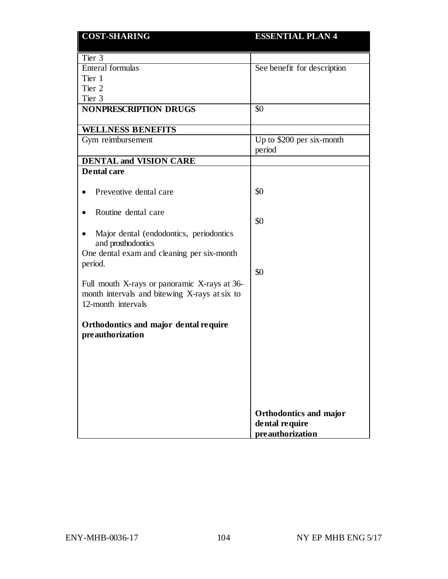| <b>COST-SHARING</b>                                                                                         | <b>ESSENTIAL PLAN 4</b>                  |
|-------------------------------------------------------------------------------------------------------------|------------------------------------------|
| Tier 3                                                                                                      |                                          |
| Enteral formulas                                                                                            | See benefit for description              |
| Tier 1                                                                                                      |                                          |
| Tier 2                                                                                                      |                                          |
| Tier 3                                                                                                      |                                          |
| <b>NONPRESCRIPTION DRUGS</b>                                                                                | \$0                                      |
| <b>WELLNESS BENEFITS</b>                                                                                    |                                          |
| Gym reimbursement                                                                                           | Up to \$200 per six-month<br>period      |
| <b>DENTAL and VISION CARE</b>                                                                               |                                          |
| <b>Dental care</b>                                                                                          |                                          |
| Preventive dental care                                                                                      | \$0                                      |
| Routine dental care                                                                                         | \$0                                      |
| Major dental (endodontics, periodontics<br>and prosthodontics<br>One dental exam and cleaning per six-month |                                          |
| period.                                                                                                     | \$0                                      |
| Full mouth X-rays or panoramic X-rays at 36-<br>month intervals and bitewing X-rays at six to               |                                          |
| 12-month intervals                                                                                          |                                          |
| Orthodontics and major dental require<br>preauthorization                                                   |                                          |
|                                                                                                             |                                          |
|                                                                                                             |                                          |
|                                                                                                             |                                          |
|                                                                                                             |                                          |
|                                                                                                             | Orthodontics and major<br>dental require |
|                                                                                                             | preauthorization                         |